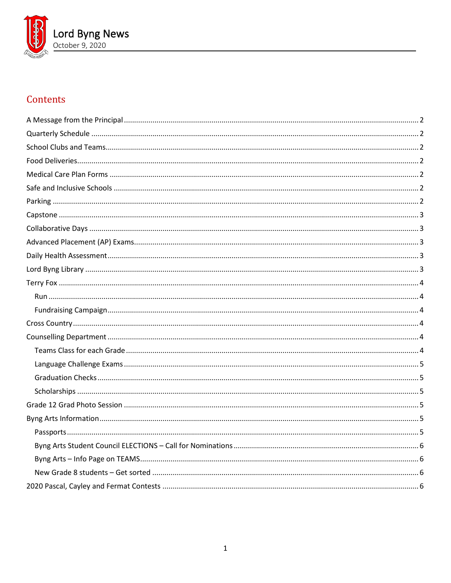

# Contents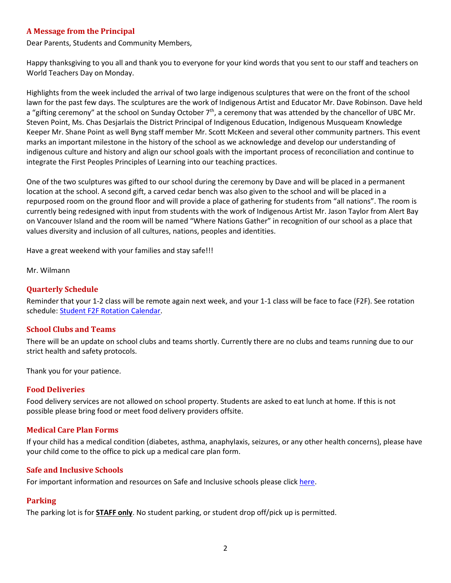### <span id="page-1-0"></span>**A Message from the Principal**

Dear Parents, Students and Community Members,

Happy thanksgiving to you all and thank you to everyone for your kind words that you sent to our staff and teachers on World Teachers Day on Monday.

Highlights from the week included the arrival of two large indigenous sculptures that were on the front of the school lawn for the past few days. The sculptures are the work of Indigenous Artist and Educator Mr. Dave Robinson. Dave held a "gifting ceremony" at the school on Sunday October 7<sup>th</sup>, a ceremony that was attended by the chancellor of UBC Mr. Steven Point, Ms. Chas Desjarlais the District Principal of Indigenous Education, Indigenous Musqueam Knowledge Keeper Mr. Shane Point as well Byng staff member Mr. Scott McKeen and several other community partners. This event marks an important milestone in the history of the school as we acknowledge and develop our understanding of indigenous culture and history and align our school goals with the important process of reconciliation and continue to integrate the First Peoples Principles of Learning into our teaching practices.

One of the two sculptures was gifted to our school during the ceremony by Dave and will be placed in a permanent location at the school. A second gift, a carved cedar bench was also given to the school and will be placed in a repurposed room on the ground floor and will provide a place of gathering for students from "all nations". The room is currently being redesigned with input from students with the work of Indigenous Artist Mr. Jason Taylor from Alert Bay on Vancouver Island and the room will be named "Where Nations Gather" in recognition of our school as a place that values diversity and inclusion of all cultures, nations, peoples and identities.

Have a great weekend with your families and stay safe!!!

<span id="page-1-1"></span>Mr. Wilmann

### **Quarterly Schedule**

Reminder that your 1-2 class will be remote again next week, and your 1-1 class will be face to face (F2F). See rotation schedule: [Student F2F Rotation Calendar.](https://www.vsb.bc.ca/repository/SBAttachments/8e11130a-23bc-4157-9294-1c252018cc4d_STUDENTF2FandRemoteBlockCalendar2020-2021.pdf)

### <span id="page-1-2"></span>**School Clubs and Teams**

There will be an update on school clubs and teams shortly. Currently there are no clubs and teams running due to our strict health and safety protocols.

Thank you for your patience.

#### <span id="page-1-3"></span>**Food Deliveries**

Food delivery services are not allowed on school property. Students are asked to eat lunch at home. If this is not possible please bring food or meet food delivery providers offsite.

### <span id="page-1-4"></span>**Medical Care Plan Forms**

If your child has a medical condition (diabetes, asthma, anaphylaxis, seizures, or any other health concerns), please have your child come to the office to pick up a medical care plan form.

### <span id="page-1-5"></span>**Safe and Inclusive Schools**

<span id="page-1-6"></span>For important information and resources on Safe and Inclusive schools please click [here.](https://www.vsb.bc.ca/Student_Support/Safe_Caring/Pages/default.aspx)

### **Parking**

The parking lot is for **STAFF only**. No student parking, or student drop off/pick up is permitted.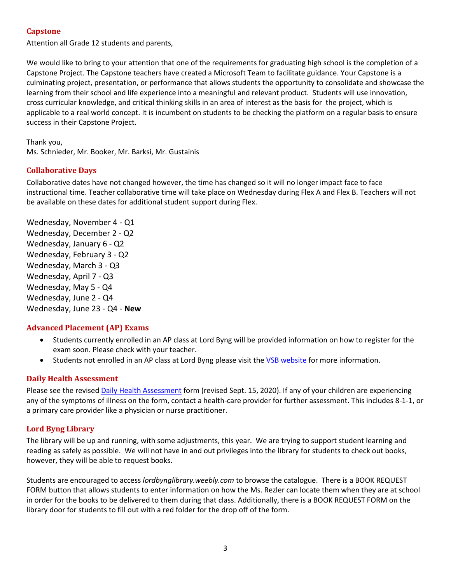# <span id="page-2-0"></span>**Capstone**

Attention all Grade 12 students and parents,

We would like to bring to your attention that one of the requirements for graduating high school is the completion of a Capstone Project. The Capstone teachers have created a Microsoft Team to facilitate guidance. Your Capstone is a culminating project, presentation, or performance that allows students the opportunity to consolidate and showcase the learning from their school and life experience into a meaningful and relevant product. Students will use innovation, cross curricular knowledge, and critical thinking skills in an area of interest as the basis for the project, which is applicable to a real world concept. It is incumbent on students to be checking the platform on a regular basis to ensure success in their Capstone Project.

Thank you, Ms. Schnieder, Mr. Booker, Mr. Barksi, Mr. Gustainis

# <span id="page-2-1"></span>**Collaborative Days**

Collaborative dates have not changed however, the time has changed so it will no longer impact face to face instructional time. Teacher collaborative time will take place on Wednesday during Flex A and Flex B. Teachers will not be available on these dates for additional student support during Flex.

Wednesday, November 4 - Q1 Wednesday, December 2 - Q2 Wednesday, January 6 - Q2 Wednesday, February 3 - Q2 Wednesday, March 3 - Q3 Wednesday, April 7 - Q3 Wednesday, May 5 - Q4 Wednesday, June 2 - Q4 Wednesday, June 23 - Q4 - **New**

# <span id="page-2-2"></span>**Advanced Placement (AP) Exams**

- Students currently enrolled in an AP class at Lord Byng will be provided information on how to register for the exam soon. Please check with your teacher.
- Students not enrolled in an AP class at Lord Byng please visit th[e VSB website](https://www.vsb.bc.ca/Student_Learning/Secondary/Advanced_Placement_Exams/Pages/Default.aspx) for more information.

# <span id="page-2-3"></span>**Daily Health Assessment**

Please see the revised [Daily Health Assessment](https://www.vsb.bc.ca/repository/SBAttachments/8e11130a-23bc-4157-9294-1c252018cc4d_DailyHealthAssessment-Student_Sept15003.pdf) form (revised Sept. 15, 2020). If any of your children are experiencing any of the symptoms of illness on the form, contact a health-care provider for further assessment. This includes 8-1-1, or a primary care provider like a physician or nurse practitioner.

# <span id="page-2-4"></span>**Lord Byng Library**

The library will be up and running, with some adjustments, this year. We are trying to support student learning and reading as safely as possible. We will not have in and out privileges into the library for students to check out books, however, they will be able to request books.

Students are encouraged to access *lordbynglibrary.weebly.com* to browse the catalogue. There is a BOOK REQUEST FORM button that allows students to enter information on how the Ms. Rezler can locate them when they are at school in order for the books to be delivered to them during that class. Additionally, there is a BOOK REQUEST FORM on the library door for students to fill out with a red folder for the drop off of the form.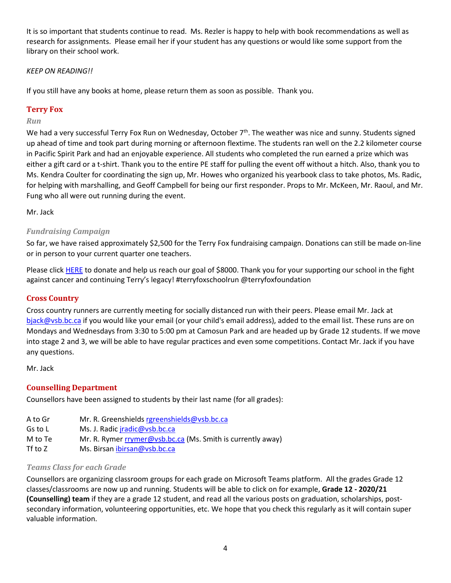It is so important that students continue to read. Ms. Rezler is happy to help with book recommendations as well as research for assignments. Please email her if your student has any questions or would like some support from the library on their school work.

# *KEEP ON READING!!*

If you still have any books at home, please return them as soon as possible. Thank you.

# <span id="page-3-0"></span>**Terry Fox**

# <span id="page-3-1"></span>*Run*

We had a very successful Terry Fox Run on Wednesday, October 7<sup>th</sup>. The weather was nice and sunny. Students signed up ahead of time and took part during morning or afternoon flextime. The students ran well on the 2.2 kilometer course in Pacific Spirit Park and had an enjoyable experience. All students who completed the run earned a prize which was either a gift card or a t-shirt. Thank you to the entire PE staff for pulling the event off without a hitch. Also, thank you to Ms. Kendra Coulter for coordinating the sign up, Mr. Howes who organized his yearbook class to take photos, Ms. Radic, for helping with marshalling, and Geoff Campbell for being our first responder. Props to Mr. McKeen, Mr. Raoul, and Mr. Fung who all were out running during the event.

Mr. Jack

# <span id="page-3-2"></span>*Fundraising Campaign*

So far, we have raised approximately \$2,500 for the Terry Fox fundraising campaign. Donations can still be made on-line or in person to your current quarter one teachers.

Please click [HERE](https://secure.terryfox.ca/registrant/TeamFundraisingPage.aspx?TeamID=915903) to donate and help us reach our goal of \$8000. Thank you for your supporting our school in the fight against cancer and continuing Terry's legacy! #terryfoxschoolrun @terryfoxfoundation

# <span id="page-3-3"></span>**Cross Country**

Cross country runners are currently meeting for socially distanced run with their peers. Please email Mr. Jack at [bjack@vsb.bc.ca](mailto:bjack@vsb.bc.ca) if you would like your email (or your child's email address), added to the email list. These runs are on Mondays and Wednesdays from 3:30 to 5:00 pm at Camosun Park and are headed up by Grade 12 students. If we move into stage 2 and 3, we will be able to have regular practices and even some competitions. Contact Mr. Jack if you have any questions.

Mr. Jack

# <span id="page-3-4"></span>**Counselling Department**

Counsellors have been assigned to students by their last name (for all grades):

A to Gr Mr. R. Greenshield[s rgreenshields@vsb.bc.ca](mailto:rgreenshields@vsb.bc.ca) Gs to L Ms. J. Radic *jradic@vsb.bc.ca* M to Te Mr. R. Rymer  $rrymer@vsb(bc.ca)$  (Ms. Smith is currently away) Tf to Z Ms. Birsan [ibirsan@vsb.bc.ca](mailto:ibirsan@vsb.bc.ca)

# <span id="page-3-5"></span>*Teams Class for each Grade*

Counsellors are organizing classroom groups for each grade on Microsoft Teams platform. All the grades Grade 12 classes/classrooms are now up and running. Students will be able to click on for example, **Grade 12 - 2020/21 (Counselling) team** if they are a grade 12 student, and read all the various posts on graduation, scholarships, postsecondary information, volunteering opportunities, etc. We hope that you check this regularly as it will contain super valuable information.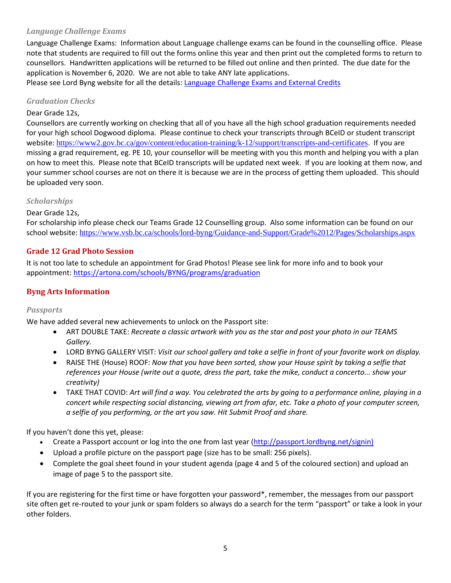# <span id="page-4-0"></span>*Language Challenge Exams*

Language Challenge Exams: Information about Language challenge exams can be found in the counselling office. Please note that students are required to fill out the forms online this year and then print out the completed forms to return to counsellors. Handwritten applications will be returned to be filled out online and then printed. The due date for the application is November 6, 2020. We are not able to take ANY late applications.

<span id="page-4-1"></span>Please see Lord Byng website for all the details: [Language Challenge Exams and External Credits](https://www.vsb.bc.ca/schools/lord-byng/Teaching-and-Learning/Classes-and-Departments/Counselling/Pages/Language-Challenge-Exams-and-External-Credits.aspx?rf=830e511d-a1a4-4faf-99d0-28b1736820df)

### *Graduation Checks*

### Dear Grade 12s,

Counsellors are currently working on checking that all of you have all the high school graduation requirements needed for your high school Dogwood diploma. Please continue to check your transcripts through BCeID or student transcript website: <https://www2.gov.bc.ca/gov/content/education-training/k-12/support/transcripts-and-certificates>. If you are missing a grad requirement, eg. PE 10, your counsellor will be meeting with you this month and helping you with a plan on how to meet this. Please note that BCeID transcripts will be updated next week. If you are looking at them now, and your summer school courses are not on there it is because we are in the process of getting them uploaded. This should be uploaded very soon.

### <span id="page-4-2"></span>*Scholarships*

### Dear Grade 12s,

For scholarship info please check our Teams Grade 12 Counselling group. Also some information can be found on our school website: <https://www.vsb.bc.ca/schools/lord-byng/Guidance-and-Support/Grade%2012/Pages/Scholarships.aspx>

### <span id="page-4-3"></span>**Grade 12 Grad Photo Session**

It is not too late to schedule an appointment for Grad Photos! Please see link for more info and to book your appointment:<https://artona.com/schools/BYNG/programs/graduation>

# <span id="page-4-5"></span><span id="page-4-4"></span>**Byng Arts Information**

### *Passports*

We have added several new achievements to unlock on the Passport site:

- ART DOUBLE TAKE: *Recreate a classic artwork with you as the star and post your photo in our TEAMS Gallery.*
- LORD BYNG GALLERY VISIT: *Visit our school gallery and take a selfie in front of your favorite work on display.*
- RAISE THE (House) ROOF: *Now that you have been sorted, show your House spirit by taking a selfie that references your House (write out a quote, dress the part, take the mike, conduct a concerto... show your creativity)*
- TAKE THAT COVID: *Art will find a way. You celebrated the arts by going to a performance online, playing in a concert while respecting social distancing, viewing art from afar, etc. Take a photo of your computer screen, a selfie of you performing, or the art you saw. Hit Submit Proof and share.*

If you haven't done this yet, please:

- Create a Passport account or log into the one from last year [\(http://passport.lordbyng.net/signin\)](http://passport.lordbyng.net/signin)
- Upload a profile picture on the passport page (size has to be small: 256 pixels).
- Complete the goal sheet found in your student agenda (page 4 and 5 of the coloured section) and upload an image of page 5 to the passport site.

If you are registering for the first time or have forgotten your password\*, remember, the messages from our passport site often get re-routed to your junk or spam folders so always do a search for the term "passport" or take a look in your other folders.